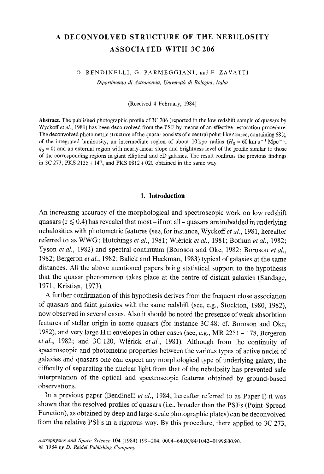# A DECONVOLVED STRUCTURE OF THE NEBULOSITY **ASSOCIATED WITH 3C 206**

#### O. BENDINELLI, G. PARMEGGIANI, and F. ZAVATTI

*Dipartimento di Astronomia, Univerxitgt di Bologna, Italia* 

(Received 4 February, 1984)

Abstract. The published photographic profile of 3C 206 (reported in the low redshift sample of quasars by Wyckoff *et al.*, 1981) has been deconvolved from the PSF by means of an effective restoration procedure. The deconvolved photometric structure of the quasar consists of a central point-like source, containing  $68\%$ of the integrated luminosity, an intermediate region of about 10 kpc radius  $(H_0 = 60 \text{ km s}^{-1} \text{ Mpc}^{-1})$ ,  $q_0 = 0$ ) and an external region with nearly-linear slope and brightness level of the profile similar to those of the corresponding regions in giant elliptical and cD galaxies. The result confirms the previous findings in  $3C 273$ , PKS  $2135 + 147$ , and PKS  $0812 + 020$  obtained in the same way.

# **1. Introduction**

An increasing accuracy of the morphological and spectroscopic work on low redshift quasars ( $z \le 0.4$ ) has revealed that most – if not all – quasars are imbedded in underlying nebulosities with photometric features (see, for instance, Wyckoff et al., 1981, hereafter referred to as WWG; Hutchings *et aL,* 1981; Wl6rick *et al.,* 1981; Bothun *et al.,* 1982; Tyson et al., 1982) and spectral continuum (Boroson and Oke, 1982; Boroson et al., 1982; Bergeron *et al.,* 1982; Balick and Heckman, 1983) typical of galaxies at the same distances. All the above mentioned papers bring statistical support to the hypothesis that the quasar phenomenon takes place at the centre of distant galaxies (Sandage, 1971; Kristian, 1973).

A further confirmation of this hypothesis derives from the frequent close association of quasars and faint galaxies with the same redshift (see, e.g., Stockton, 1980, 1982), now observed in several cases. Also it should be noted the presence of weak absorbtion features of stellar origin in some quasars (for instance 3C 48; cf. Boroson and Oke, 1982), and very large HII envelopes in other cases (see, e.g., MR 2251 - 178, Bergeron et al., 1982; and 3C 120, Wlérick et al., 1981). Although from the continuity of spectroscopic and photometric properties between the various types of active nuclei of galaxies and quasars one can expect any morphological type of underlying galaxy, the difficulty of separating the nuclear light from that of the nebulosity has prevented safe interpretation of the optical and spectroscopic features obtained by ground-based observations.

In a previous paper (Bendinelli *et al.*, 1984; hereafter referred to as Paper I) it was shown that the resolved profiles of quasars (i.e., broader than the PSFs (Point-Spread Function), as obtained by deep and large-scale photographic plates) can be deconvolved from the relative PSFs in a rigorous way. By this procedure, there applied to 3C 273,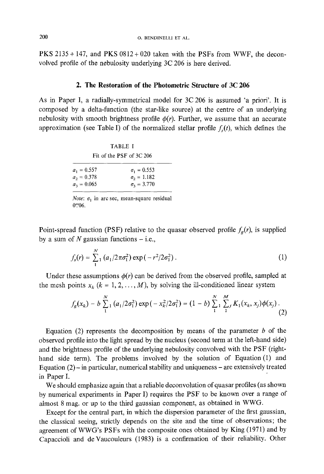PKS 2135 + 147, and PKS 0812 + 020 taken with the PSFs from *WWF,* the deconvolved profile of the nebulosity underlying 3C 206 is here derived.

## **2. The Restoration of the Photometric Structure of 3C 206**

As in Paper I, a radially-symmetrical model for 3C 206 is assumed 'a priori'. It is composed by a delta-function (the star-like source) at the centre of an underlying nebulosity with smooth brightness profile  $\phi(r)$ . Further, we assume that an accurate approximation (see Table I) of the normalized stellar profile  $f<sub>s</sub>(t)$ , which defines the

| <b>TABLE I</b>           |  |  |  |  |  |
|--------------------------|--|--|--|--|--|
| Fit of the PSF of 3C 206 |  |  |  |  |  |

| $a_1 = 0.557$ | $\sigma_1 = 0.553$       |
|---------------|--------------------------|
| $a_2 = 0.378$ | $\sigma_2 = 1.182$       |
| $a_3 = 0.065$ | $\sigma_{\rm z} = 3.770$ |

*Note:*  $\sigma_1$  in arc sec, mean-square residual 0".06.

Point-spread function (PSF) relative to the quasar observed profile  $f_g(r)$ , is supplied by a sum of N gaussian functions  $-$  i.e.,

$$
f_s(r) = \sum_{1}^{N} (a_1/2\pi\sigma_1^2) \exp(-r^2/2\sigma_1^2).
$$
 (1)

Under these assumptions  $\phi(r)$  can be derived from the observed profile, sampled at the mesh points  $x_k$  ( $k = 1, 2, ..., M$ ), by solving the ill-conditioned linear system

$$
f_g(x_k) - b \sum_{1}^{N} (a_1/2\sigma_1^2) \exp(-x_k^2/2\sigma_1^2) = (1-b) \sum_{1}^{N} \sum_{1}^{M} K_1(x_k, x_j) \phi(x_j).
$$
\n(2)

Equation (2) represents the decomposition by means of the parameter  $b$  of the observed profile into the light spread by the nucleus (second term at the left-hand side) and the brightness profile of the underlying nebulosity convolved with the PSF (righthand side term). The problems involved by the solution of Equation (1) and Equation  $(2)$  - in particular, numerical stability and uniqueness – are extensively treated in Paper I.

We should emphasize again that a reliable deconvolution of quasar profiles (as shown by numerical experiments in Paper I) requires the PSF to be known over a range of almost 8 mag. or up to the third gaussian component, as obtained in WWG.

Except for the central part, in which the dispersion parameter of the first gaussian, the classical seeing, strictly depends on the site and the time of observations; the agreement of WWG's PSFs with the composite ones obtained by King (197l) and by Capaccioli and de Vaucouleurs (1983) is a confirmation of their reliability. Other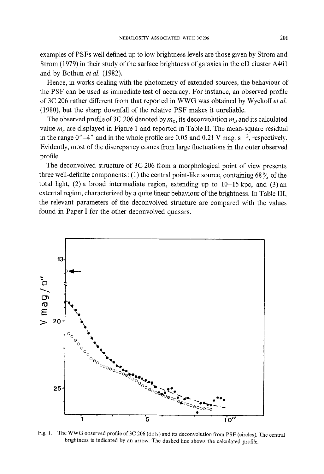examples of PSFs well defined up to low brightness levels are those given by Strom and Strom (1979) in their study of the surface brightness of galaxies in the cD cluster A401 and by Bothun *et al.* (1982).

Hence, in works dealing with the photometry of extended sources, the behaviour of the PSF can be used as immediate test of accuracy. For instance, an observed profile of 3C 206 rather different from that reported in WWG was obtained by Wyckoff *et al.*  (1980), but the sharp downfall of the relative PSF makes it unreliable.

The observed profile of 3C 206 denoted by  $m_0$ , its deconvolution  $m_d$  and its calculated value  $m<sub>c</sub>$  are displayed in Figure 1 and reported in Table II. The mean-square residual in the range  $0''-4''$  and in the whole profile are 0.05 and 0.21 V mag.  $s^{-2}$ , respectively. Evidently, most of the discrepancy comes from large fluctuations in the outer observed profile.

The deconvolved structure of 3C 206 from a morphological point of view presents three well-definite components: (1) the central point-like source, containing  $68\%$  of the total light,  $(2)$  a broad intermediate region, extending up to  $10-15$  kpc, and  $(3)$  an external region, characterized by a quite linear behaviour of the brightness. In Table III, the relevant parameters of the deconvolved structure are compared with the values found in Paper I for the other deconvolved quasars.



Fig. 1, The WWG observed profile of 3C 206 (dots) and its deeonvolution from PSF (circles). The central brightness is indicated by an arrow. The dashed line shows the calculated profile.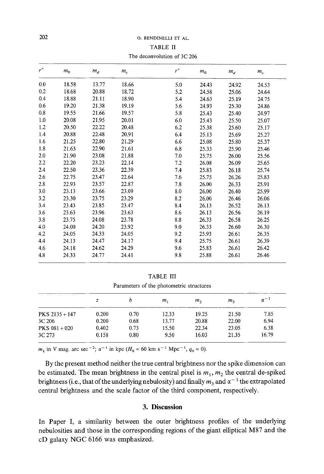#### TABLE II

The deconvolution of 3C 206

| r'' |         |       |       | r''     |       |       |       |
|-----|---------|-------|-------|---------|-------|-------|-------|
|     | $m_{0}$ | $m_d$ | $m_c$ |         | $m_0$ | $m_d$ | $m_c$ |
| 0.0 | 18.58   | 13.77 | 18.66 | 5.0     | 24.43 | 24.92 | 24.53 |
| 0.2 | 18.68   | 20.88 | 18.72 | 5.2     | 24.58 | 25.06 | 24.64 |
| 0.4 | 18.88   | 21.11 | 18.90 | 5.4     | 24.63 | 25.19 | 24.75 |
| 0.6 | 19.20   | 21.38 | 19.19 | 5.6     | 24.93 | 25.30 | 24.86 |
| 0.8 | 19.55   | 21.66 | 19.57 | 5.8     | 25.43 | 25.40 | 24.97 |
| 1.0 | 20.08   | 21.95 | 20.01 | 6.0     | 25.43 | 25.50 | 25.07 |
| 1.2 | 20.50   | 22.22 | 20.48 | 6.2     | 25.38 | 25.60 | 25.17 |
| 1.4 | 20.88   | 22.48 | 20.91 | 6.4     | 25.13 | 25.69 | 25.27 |
| 1.6 | 21.25   | 22.80 | 21.29 | 6.6     | 25.08 | 25.80 | 25.37 |
| 1.8 | 21.63   | 22.90 | 21.61 | 6.8     | 25.33 | 25.90 | 25.46 |
| 2.0 | 21.90   | 23.08 | 21.88 | 7.0     | 25.75 | 26.00 | 25.56 |
| 2.2 | 22.20   | 23.23 | 22.14 | 7.2     | 26.08 | 26.09 | 25.65 |
| 2.4 | 22.50   | 23.36 | 22.39 | 7.4     | 25.83 | 26.18 | 25.74 |
| 2.6 | 22.75   | 23.47 | 22.64 | 7.6     | 25.75 | 26.26 | 25.83 |
| 2.8 | 22.93   | 23.57 | 22.87 | 7.8     | 26.00 | 26.33 | 25.91 |
| 3.0 | 23.13   | 23.66 | 23.09 | 8.0     | 26.00 | 26.40 | 25.99 |
| 3.2 | 23.30   | 23.75 | 23.29 | 8.2     | 26.00 | 26.46 | 26.06 |
| 3.4 | 23.43   | 23.85 | 23.47 | 8.4     | 26.13 | 26.52 | 26.13 |
| 3.6 | 23.63   | 23.96 | 23.63 | 8.6     | 26.13 | 26.56 | 26.19 |
| 3.8 | 23.75   | 24.08 | 23.78 | $8.8\,$ | 26.33 | 26.58 | 26.25 |
| 4.0 | 24.00   | 24.20 | 23.92 | 9.0     | 26.33 | 26.60 | 26.30 |
| 4.2 | 24.05   | 24.33 | 24.05 | 9.2     | 25.93 | 26.61 | 26.35 |
| 4.4 | 24.13   | 24.47 | 24.17 | 9,4     | 25.75 | 26.61 | 26.39 |
| 4.6 | 24.18   | 24.62 | 24.29 | 9.6     | 25.83 | 26.61 | 26.42 |
| 4.8 | 24.33   | 24.77 | 24.41 | 9.8     | 25.88 | 26.61 | 26.46 |

## TABLE III

Parameters of the photometric structures

|                  | z     |      | т,    | m <sub>2</sub> | m <sub>3</sub> | $\alpha^{-1}$ |
|------------------|-------|------|-------|----------------|----------------|---------------|
| $PKS$ 2135 + 147 | 0.200 | 0.70 | 12.33 | 19.25          | 21.50          | 7.85          |
| 3C 206           | 0.200 | 0.68 | 13.77 | 20.88          | 22.00          | 6.94          |
| $PKS 081 + 020$  | 0.402 | 0.73 | 15.50 | 22.34          | 23.05          | 6.38          |
| 3C 273           | 0.158 | 0.80 | 9.50  | 16.03          | 21.35          | 16.79         |

 $m_1$  in V mag. arc sec<sup>-2</sup>;  $\alpha^{-1}$  in kpc ( $H_0 = 60$  km s<sup>-1</sup> Mpc<sup>-1</sup>,  $q_0 = 0$ ).

By the present method neither the true central brightness nor the spike dimension can be estimated. The mean brightness in the central pixel is  $m_1$ ,  $m_2$  the central de-spiked brightness (i.e., that of the underlying nebulosity) and finally  $m_3$  and  $\alpha^{-1}$  the extrapolated central brightness and the scale factor of the third component, respectively.

# **3. Discussion**

In Paper I, a similarity between the outer brightness profiles of the underlying nebulosities and those in the corresponding regions of the giant elliptical M87 and the cD galaxy NGC 6166 was emphasized.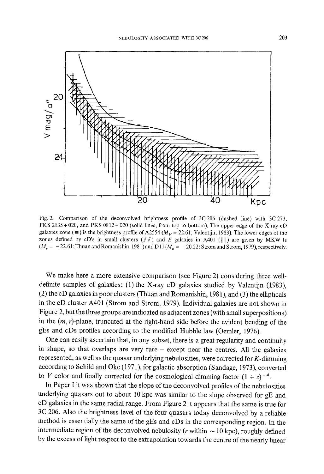

Fig. 2. Comparison of the deconvolved brightness profile of 3C 206 (dashed line) with 3C 273, PKS 2135 + 020, and PKS 0812 + 020 (solid lines, from top to bottom). The upper edge of the X-ray cD galaxies zone ( $\equiv$ ) is the brightness profile of A2554 ( $M_V$  = 22.61; Valentijn, 1983). The lower edges of the zones defined by cD's in small clusters  $(\# \#)$  and E galaxies in A401 ( $\| \|\$ ) are given by MKW ls  $(M_v = -22.61$ ; Thuan and Romanishin, 1981) and D11  $(M_v = -20.22$ ; Strom and Strom, 1979), respectively.

We make here a more extensive comparison (see Figure 2) considering three welldefinite samples of galaxies: (1) the X-ray cD galaxies studied by Valentijn (1983), (2) the cD galaxies in poor clusters (Thuan and Romanishin, 1981), and (3) the ellipticals in the cD cluster A401 (Strom and Strom, 1979). Individual galaxies are not shown in Figure 2, but the three groups are indicated as adjacent zones (with small superpositions) in the  $(m, r)$ -plane, truncated at the right-hand side before the evident bending of the gEs and cDs profiles according to the modified Hubble law (Oemler, 1976).

One can easily ascertain that, in any subset, there is a great regularity and continuity in shape, so that overlaps are very rare - except near the centres. All the galaxies represented, as well as the quasar underlying nebulosities, were corrected for  $K$ -dimming according to Schild and Oke (1971), for galactic absorption (Sandage, 1973), converted to V color and finally corrected for the cosmological dimming factor  $(1 + z)^{-4}$ .

In Paper I it was shown that the slope of the deconvolved profiles of the nebulosities underlying quasars out to about 10 kpc was similar to the slope observed for gE and cD galaxies in the same radial range. From Figure 2 it appears that the same is true for 3C 206. Also the brightness level of the four quasars today deconvolved by a reliable method is essentially the same of the gEs and cDs in the corresponding region. In the intermediate region of the deconvolved nebulosity ( $r$  within  $\sim$  10 kpc), roughly defined by the excess of light respect to the extrapolation towards the centre of the nearly linear